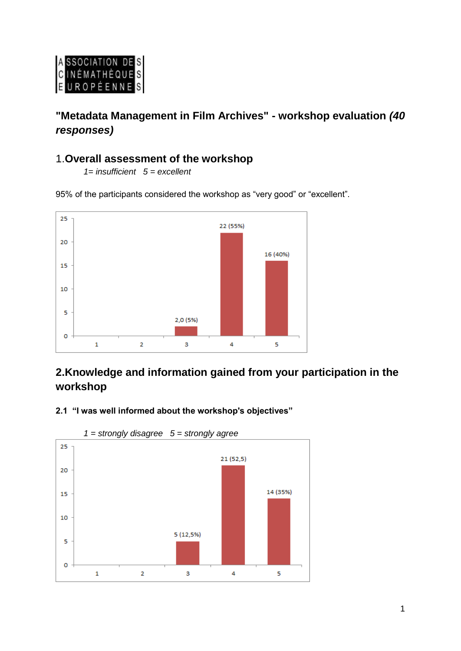

# **"Metadata Management in Film Archives" - workshop evaluation** *(40 responses)*

# 1.**Overall assessment of the workshop**

*1= insufficient 5 = excellent*

95% of the participants considered the workshop as "very good" or "excellent".



# **2.Knowledge and information gained from your participation in the workshop**





*1 = strongly disagree 5 = strongly agree*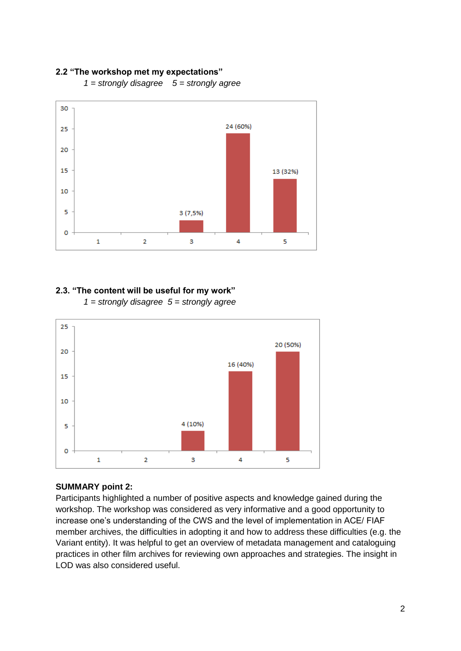#### **2.2 "The workshop met my expectations"**



*1 = strongly disagree 5 = strongly agree* 

### **2.3. "The content will be useful for my work"**

*1 = strongly disagree 5 = strongly agree* 



#### **SUMMARY point 2:**

Participants highlighted a number of positive aspects and knowledge gained during the workshop. The workshop was considered as very informative and a good opportunity to increase one's understanding of the CWS and the level of implementation in ACE/ FIAF member archives, the difficulties in adopting it and how to address these difficulties (e.g. the Variant entity). It was helpful to get an overview of metadata management and cataloguing practices in other film archives for reviewing own approaches and strategies. The insight in LOD was also considered useful.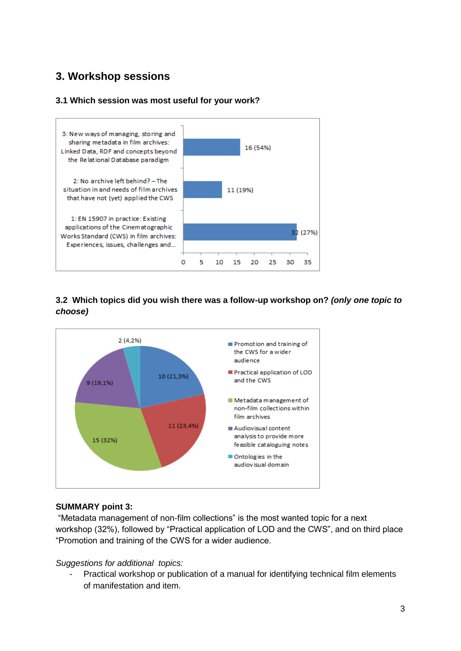# **3. Workshop sessions**

### **3.1 Which session was most useful for your work?**



## **3.2 Which topics did you wish there was a follow-up workshop on?** *(only one topic to choose)*



#### **SUMMARY point 3:**

"Metadata management of non-film collections" is the most wanted topic for a next workshop (32%), followed by "Practical application of LOD and the CWS", and on third place "Promotion and training of the CWS for a wider audience.

#### *Suggestions for additional topics:*

- Practical workshop or publication of a manual for identifying technical film elements of manifestation and item.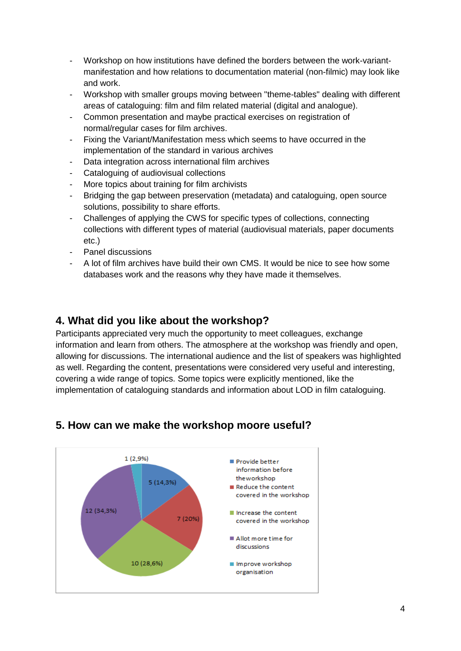- Workshop on how institutions have defined the borders between the work-variantmanifestation and how relations to documentation material (non-filmic) may look like and work.
- Workshop with smaller groups moving between "theme-tables" dealing with different areas of cataloguing: film and film related material (digital and analogue).
- Common presentation and maybe practical exercises on registration of normal/regular cases for film archives.
- Fixing the Variant/Manifestation mess which seems to have occurred in the implementation of the standard in various archives
- Data integration across international film archives
- Cataloguing of audiovisual collections
- More topics about training for film archivists
- Bridging the gap between preservation (metadata) and cataloguing, open source solutions, possibility to share efforts.
- Challenges of applying the CWS for specific types of collections, connecting collections with different types of material (audiovisual materials, paper documents etc.)
- Panel discussions
- A lot of film archives have build their own CMS. It would be nice to see how some databases work and the reasons why they have made it themselves.

## **4. What did you like about the workshop?**

Participants appreciated very much the opportunity to meet colleagues, exchange information and learn from others. The atmosphere at the workshop was friendly and open, allowing for discussions. The international audience and the list of speakers was highlighted as well. Regarding the content, presentations were considered very useful and interesting, covering a wide range of topics. Some topics were explicitly mentioned, like the implementation of cataloguing standards and information about LOD in film cataloguing.



## **5. How can we make the workshop moore useful?**